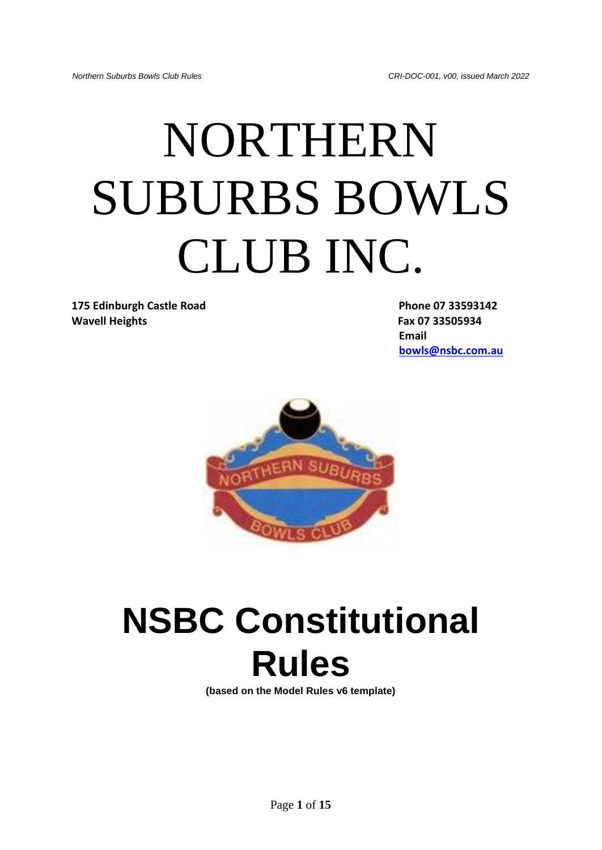# NORTHERN SUBURBS BOWLS CLUB INC.

**175 Edinburgh Castle Road Phone 07 33593142 Wavell Heights Fax 07 33505934**

**Email [bowls@nsbc.com.au](mailto:bowls@nsbc.com.au)**



# **NSBC Constitutional Rules**

**(based on the Model Rules v6 template)**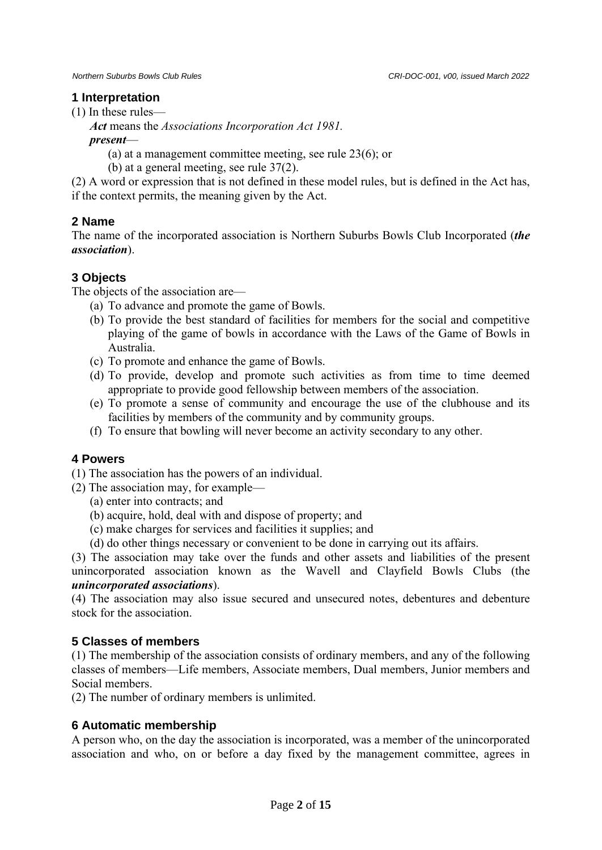#### **1 Interpretation**

(1) In these rules—

*Act* means the *Associations Incorporation Act 1981.*

*present*—

(a) at a management committee meeting, see rule 23(6); or

(b) at a general meeting, see rule 37(2).

(2) A word or expression that is not defined in these model rules, but is defined in the Act has, if the context permits, the meaning given by the Act.

# **2 Name**

The name of the incorporated association is Northern Suburbs Bowls Club Incorporated (*the association*).

# **3 Objects**

The objects of the association are—

- (a) To advance and promote the game of Bowls.
- (b) To provide the best standard of facilities for members for the social and competitive playing of the game of bowls in accordance with the Laws of the Game of Bowls in Australia.
- (c) To promote and enhance the game of Bowls.
- (d) To provide, develop and promote such activities as from time to time deemed appropriate to provide good fellowship between members of the association.
- (e) To promote a sense of community and encourage the use of the clubhouse and its facilities by members of the community and by community groups.
- (f) To ensure that bowling will never become an activity secondary to any other.

# **4 Powers**

(1) The association has the powers of an individual.

- (2) The association may, for example—
	- (a) enter into contracts; and
	- (b) acquire, hold, deal with and dispose of property; and
	- (c) make charges for services and facilities it supplies; and
	- (d) do other things necessary or convenient to be done in carrying out its affairs.

(3) The association may take over the funds and other assets and liabilities of the present unincorporated association known as the Wavell and Clayfield Bowls Clubs (the *unincorporated associations*).

(4) The association may also issue secured and unsecured notes, debentures and debenture stock for the association.

# **5 Classes of members**

(1) The membership of the association consists of ordinary members, and any of the following classes of members—Life members, Associate members, Dual members, Junior members and Social members.

(2) The number of ordinary members is unlimited.

# **6 Automatic membership**

A person who, on the day the association is incorporated, was a member of the unincorporated association and who, on or before a day fixed by the management committee, agrees in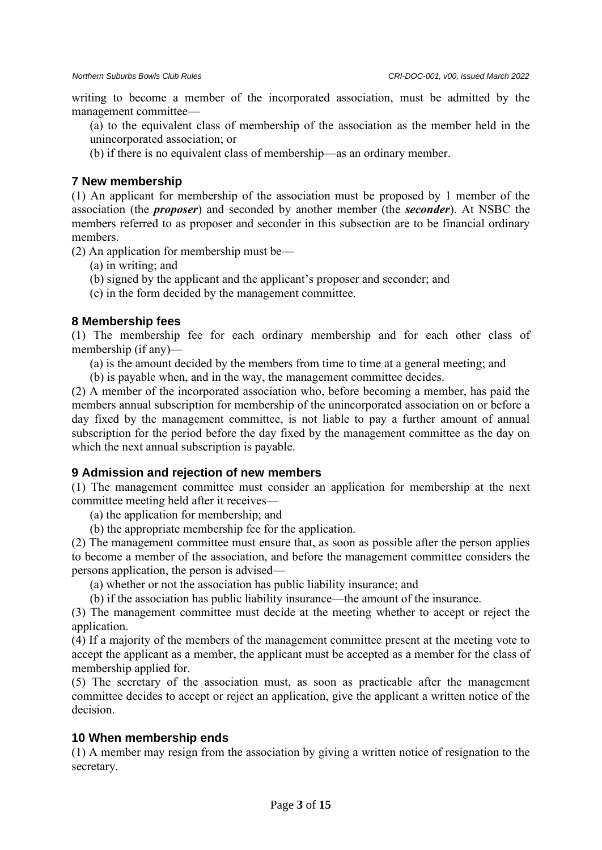writing to become a member of the incorporated association, must be admitted by the management committee—

(a) to the equivalent class of membership of the association as the member held in the unincorporated association; or

(b) if there is no equivalent class of membership—as an ordinary member.

#### **7 New membership**

(1) An applicant for membership of the association must be proposed by 1 member of the association (the *proposer*) and seconded by another member (the *seconder*). At NSBC the members referred to as proposer and seconder in this subsection are to be financial ordinary members.

(2) An application for membership must be—

- (a) in writing; and
- (b) signed by the applicant and the applicant's proposer and seconder; and
- (c) in the form decided by the management committee.

#### **8 Membership fees**

(1) The membership fee for each ordinary membership and for each other class of membership (if any)—

- (a) is the amount decided by the members from time to time at a general meeting; and
- (b) is payable when, and in the way, the management committee decides.

(2) A member of the incorporated association who, before becoming a member, has paid the members annual subscription for membership of the unincorporated association on or before a day fixed by the management committee, is not liable to pay a further amount of annual subscription for the period before the day fixed by the management committee as the day on which the next annual subscription is payable.

#### **9 Admission and rejection of new members**

(1) The management committee must consider an application for membership at the next committee meeting held after it receives—

(a) the application for membership; and

(b) the appropriate membership fee for the application.

(2) The management committee must ensure that, as soon as possible after the person applies to become a member of the association, and before the management committee considers the persons application, the person is advised—

(a) whether or not the association has public liability insurance; and

(b) if the association has public liability insurance—the amount of the insurance.

(3) The management committee must decide at the meeting whether to accept or reject the application.

(4) If a majority of the members of the management committee present at the meeting vote to accept the applicant as a member, the applicant must be accepted as a member for the class of membership applied for.

(5) The secretary of the association must, as soon as practicable after the management committee decides to accept or reject an application, give the applicant a written notice of the decision.

#### **10 When membership ends**

(1) A member may resign from the association by giving a written notice of resignation to the secretary.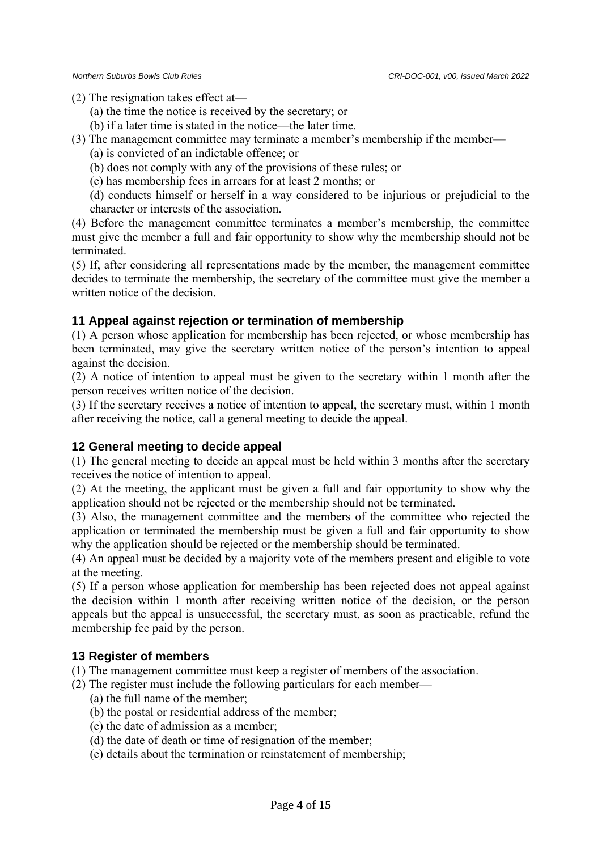(2) The resignation takes effect at—

- (a) the time the notice is received by the secretary; or
- (b) if a later time is stated in the notice—the later time.
- (3) The management committee may terminate a member's membership if the member—
	- (a) is convicted of an indictable offence; or
	- (b) does not comply with any of the provisions of these rules; or
	- (c) has membership fees in arrears for at least 2 months; or

(d) conducts himself or herself in a way considered to be injurious or prejudicial to the character or interests of the association.

(4) Before the management committee terminates a member's membership, the committee must give the member a full and fair opportunity to show why the membership should not be terminated.

(5) If, after considering all representations made by the member, the management committee decides to terminate the membership, the secretary of the committee must give the member a written notice of the decision.

# **11 Appeal against rejection or termination of membership**

(1) A person whose application for membership has been rejected, or whose membership has been terminated, may give the secretary written notice of the person's intention to appeal against the decision.

(2) A notice of intention to appeal must be given to the secretary within 1 month after the person receives written notice of the decision.

(3) If the secretary receives a notice of intention to appeal, the secretary must, within 1 month after receiving the notice, call a general meeting to decide the appeal.

# **12 General meeting to decide appeal**

(1) The general meeting to decide an appeal must be held within 3 months after the secretary receives the notice of intention to appeal.

(2) At the meeting, the applicant must be given a full and fair opportunity to show why the application should not be rejected or the membership should not be terminated.

(3) Also, the management committee and the members of the committee who rejected the application or terminated the membership must be given a full and fair opportunity to show why the application should be rejected or the membership should be terminated.

(4) An appeal must be decided by a majority vote of the members present and eligible to vote at the meeting.

(5) If a person whose application for membership has been rejected does not appeal against the decision within 1 month after receiving written notice of the decision, or the person appeals but the appeal is unsuccessful, the secretary must, as soon as practicable, refund the membership fee paid by the person.

# **13 Register of members**

(1) The management committee must keep a register of members of the association.

- (2) The register must include the following particulars for each member—
	- (a) the full name of the member;
	- (b) the postal or residential address of the member;
	- (c) the date of admission as a member;
	- (d) the date of death or time of resignation of the member;
	- (e) details about the termination or reinstatement of membership;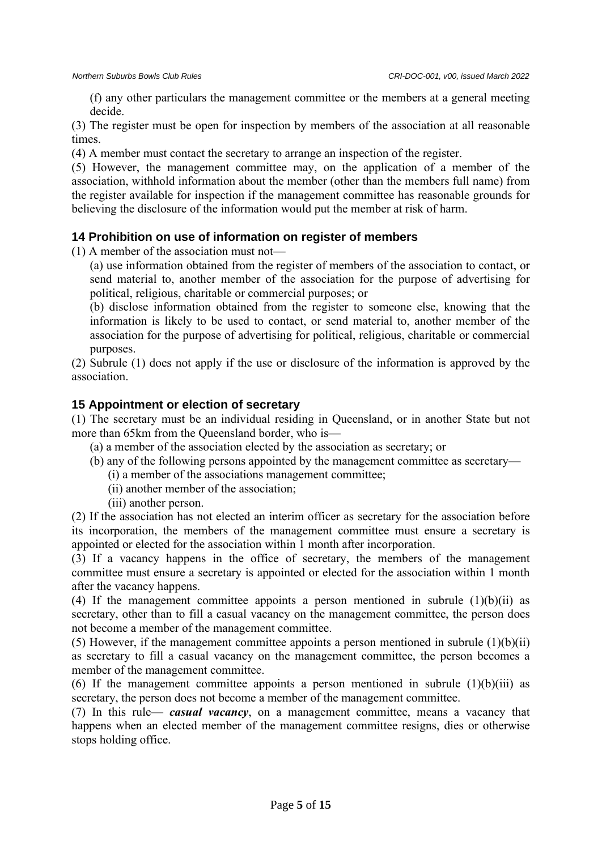(f) any other particulars the management committee or the members at a general meeting decide.

(3) The register must be open for inspection by members of the association at all reasonable times.

(4) A member must contact the secretary to arrange an inspection of the register.

(5) However, the management committee may, on the application of a member of the association, withhold information about the member (other than the members full name) from the register available for inspection if the management committee has reasonable grounds for believing the disclosure of the information would put the member at risk of harm.

#### **14 Prohibition on use of information on register of members**

(1) A member of the association must not—

(a) use information obtained from the register of members of the association to contact, or send material to, another member of the association for the purpose of advertising for political, religious, charitable or commercial purposes; or

(b) disclose information obtained from the register to someone else, knowing that the information is likely to be used to contact, or send material to, another member of the association for the purpose of advertising for political, religious, charitable or commercial purposes.

(2) Subrule (1) does not apply if the use or disclosure of the information is approved by the association.

#### **15 Appointment or election of secretary**

(1) The secretary must be an individual residing in Queensland, or in another State but not more than 65km from the Queensland border, who is—

(a) a member of the association elected by the association as secretary; or

- (b) any of the following persons appointed by the management committee as secretary—
	- (i) a member of the associations management committee;
	- (ii) another member of the association;
	- (iii) another person.

(2) If the association has not elected an interim officer as secretary for the association before its incorporation, the members of the management committee must ensure a secretary is appointed or elected for the association within 1 month after incorporation.

(3) If a vacancy happens in the office of secretary, the members of the management committee must ensure a secretary is appointed or elected for the association within 1 month after the vacancy happens.

(4) If the management committee appoints a person mentioned in subrule  $(1)(b)(ii)$  as secretary, other than to fill a casual vacancy on the management committee, the person does not become a member of the management committee.

(5) However, if the management committee appoints a person mentioned in subrule  $(1)(b)(ii)$ as secretary to fill a casual vacancy on the management committee, the person becomes a member of the management committee.

(6) If the management committee appoints a person mentioned in subrule  $(1)(b)(iii)$  as secretary, the person does not become a member of the management committee.

(7) In this rule— *casual vacancy*, on a management committee, means a vacancy that happens when an elected member of the management committee resigns, dies or otherwise stops holding office.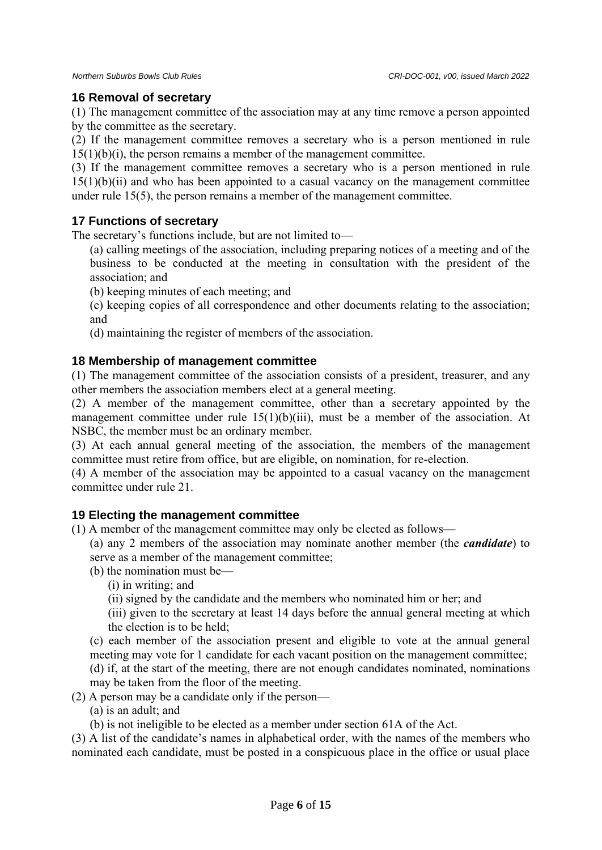#### **16 Removal of secretary**

(1) The management committee of the association may at any time remove a person appointed by the committee as the secretary.

(2) If the management committee removes a secretary who is a person mentioned in rule  $15(1)(b)(i)$ , the person remains a member of the management committee.

(3) If the management committee removes a secretary who is a person mentioned in rule  $15(1)(b)(ii)$  and who has been appointed to a casual vacancy on the management committee under rule 15(5), the person remains a member of the management committee.

# **17 Functions of secretary**

The secretary's functions include, but are not limited to—

- (a) calling meetings of the association, including preparing notices of a meeting and of the business to be conducted at the meeting in consultation with the president of the association; and
- (b) keeping minutes of each meeting; and
- (c) keeping copies of all correspondence and other documents relating to the association; and
- (d) maintaining the register of members of the association.

#### **18 Membership of management committee**

(1) The management committee of the association consists of a president, treasurer, and any other members the association members elect at a general meeting.

(2) A member of the management committee, other than a secretary appointed by the management committee under rule 15(1)(b)(iii), must be a member of the association. At NSBC, the member must be an ordinary member.

(3) At each annual general meeting of the association, the members of the management committee must retire from office, but are eligible, on nomination, for re-election.

(4) A member of the association may be appointed to a casual vacancy on the management committee under rule 21.

#### **19 Electing the management committee**

(1) A member of the management committee may only be elected as follows—

(a) any 2 members of the association may nominate another member (the *candidate*) to serve as a member of the management committee;

- (b) the nomination must be—
	- (i) in writing; and

(ii) signed by the candidate and the members who nominated him or her; and

(iii) given to the secretary at least 14 days before the annual general meeting at which the election is to be held;

(c) each member of the association present and eligible to vote at the annual general meeting may vote for 1 candidate for each vacant position on the management committee; (d) if, at the start of the meeting, there are not enough candidates nominated, nominations may be taken from the floor of the meeting.

- (2) A person may be a candidate only if the person—
	- (a) is an adult; and
	- (b) is not ineligible to be elected as a member under section 61A of the Act.

(3) A list of the candidate's names in alphabetical order, with the names of the members who nominated each candidate, must be posted in a conspicuous place in the office or usual place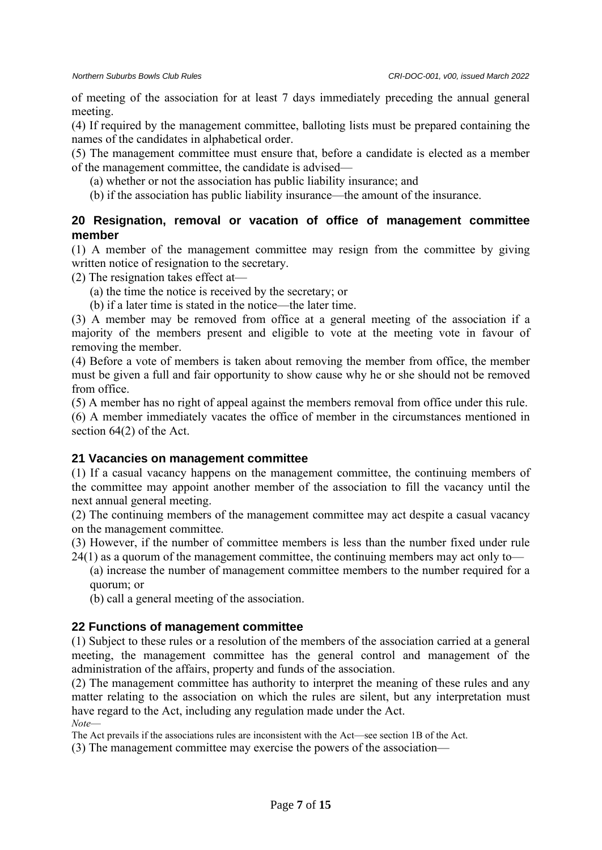of meeting of the association for at least 7 days immediately preceding the annual general meeting.

(4) If required by the management committee, balloting lists must be prepared containing the names of the candidates in alphabetical order.

(5) The management committee must ensure that, before a candidate is elected as a member of the management committee, the candidate is advised—

(a) whether or not the association has public liability insurance; and

(b) if the association has public liability insurance—the amount of the insurance.

# **20 Resignation, removal or vacation of office of management committee member**

(1) A member of the management committee may resign from the committee by giving written notice of resignation to the secretary.

(2) The resignation takes effect at—

(a) the time the notice is received by the secretary; or

(b) if a later time is stated in the notice—the later time.

(3) A member may be removed from office at a general meeting of the association if a majority of the members present and eligible to vote at the meeting vote in favour of removing the member.

(4) Before a vote of members is taken about removing the member from office, the member must be given a full and fair opportunity to show cause why he or she should not be removed from office.

(5) A member has no right of appeal against the members removal from office under this rule.

(6) A member immediately vacates the office of member in the circumstances mentioned in section 64(2) of the Act.

# **21 Vacancies on management committee**

(1) If a casual vacancy happens on the management committee, the continuing members of the committee may appoint another member of the association to fill the vacancy until the next annual general meeting.

(2) The continuing members of the management committee may act despite a casual vacancy on the management committee.

(3) However, if the number of committee members is less than the number fixed under rule

24(1) as a quorum of the management committee, the continuing members may act only to—

(a) increase the number of management committee members to the number required for a quorum; or

(b) call a general meeting of the association.

# **22 Functions of management committee**

(1) Subject to these rules or a resolution of the members of the association carried at a general meeting, the management committee has the general control and management of the administration of the affairs, property and funds of the association.

(2) The management committee has authority to interpret the meaning of these rules and any matter relating to the association on which the rules are silent, but any interpretation must have regard to the Act, including any regulation made under the Act. *Note*—

The Act prevails if the associations rules are inconsistent with the Act—see section 1B of the Act.

(3) The management committee may exercise the powers of the association—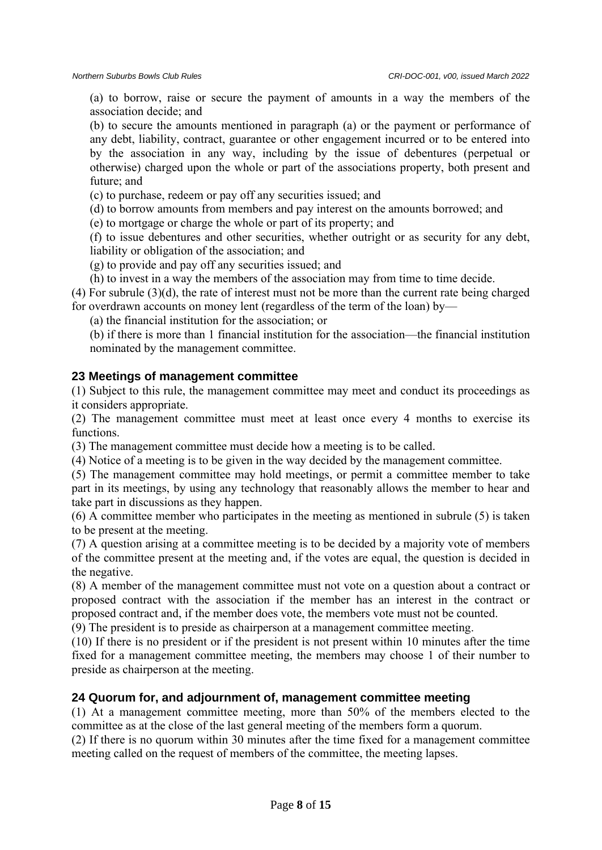(a) to borrow, raise or secure the payment of amounts in a way the members of the association decide; and

(b) to secure the amounts mentioned in paragraph (a) or the payment or performance of any debt, liability, contract, guarantee or other engagement incurred or to be entered into by the association in any way, including by the issue of debentures (perpetual or otherwise) charged upon the whole or part of the associations property, both present and future; and

(c) to purchase, redeem or pay off any securities issued; and

(d) to borrow amounts from members and pay interest on the amounts borrowed; and

(e) to mortgage or charge the whole or part of its property; and

(f) to issue debentures and other securities, whether outright or as security for any debt, liability or obligation of the association; and

(g) to provide and pay off any securities issued; and

(h) to invest in a way the members of the association may from time to time decide.

(4) For subrule (3)(d), the rate of interest must not be more than the current rate being charged for overdrawn accounts on money lent (regardless of the term of the loan) by—

(a) the financial institution for the association; or

(b) if there is more than 1 financial institution for the association—the financial institution nominated by the management committee.

#### **23 Meetings of management committee**

(1) Subject to this rule, the management committee may meet and conduct its proceedings as it considers appropriate.

(2) The management committee must meet at least once every 4 months to exercise its functions.

(3) The management committee must decide how a meeting is to be called.

(4) Notice of a meeting is to be given in the way decided by the management committee.

(5) The management committee may hold meetings, or permit a committee member to take part in its meetings, by using any technology that reasonably allows the member to hear and take part in discussions as they happen.

(6) A committee member who participates in the meeting as mentioned in subrule (5) is taken to be present at the meeting.

(7) A question arising at a committee meeting is to be decided by a majority vote of members of the committee present at the meeting and, if the votes are equal, the question is decided in the negative.

(8) A member of the management committee must not vote on a question about a contract or proposed contract with the association if the member has an interest in the contract or proposed contract and, if the member does vote, the members vote must not be counted.

(9) The president is to preside as chairperson at a management committee meeting.

(10) If there is no president or if the president is not present within 10 minutes after the time fixed for a management committee meeting, the members may choose 1 of their number to preside as chairperson at the meeting.

# **24 Quorum for, and adjournment of, management committee meeting**

(1) At a management committee meeting, more than 50% of the members elected to the committee as at the close of the last general meeting of the members form a quorum.

(2) If there is no quorum within 30 minutes after the time fixed for a management committee meeting called on the request of members of the committee, the meeting lapses.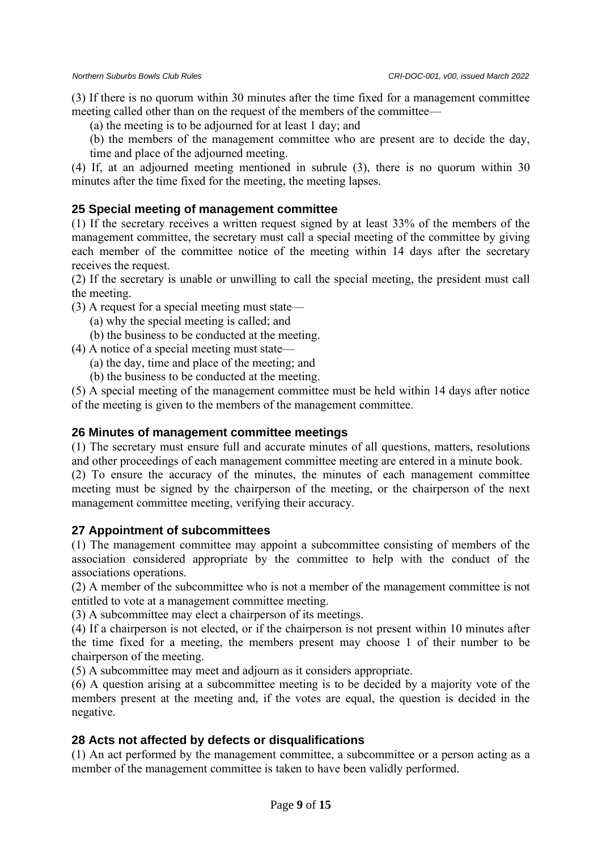(3) If there is no quorum within 30 minutes after the time fixed for a management committee meeting called other than on the request of the members of the committee—

(a) the meeting is to be adjourned for at least 1 day; and

(b) the members of the management committee who are present are to decide the day, time and place of the adjourned meeting.

(4) If, at an adjourned meeting mentioned in subrule (3), there is no quorum within 30 minutes after the time fixed for the meeting, the meeting lapses.

# **25 Special meeting of management committee**

(1) If the secretary receives a written request signed by at least 33% of the members of the management committee, the secretary must call a special meeting of the committee by giving each member of the committee notice of the meeting within 14 days after the secretary receives the request.

(2) If the secretary is unable or unwilling to call the special meeting, the president must call the meeting.

(3) A request for a special meeting must state—

(a) why the special meeting is called; and

(b) the business to be conducted at the meeting.

- (4) A notice of a special meeting must state—
	- (a) the day, time and place of the meeting; and
	- (b) the business to be conducted at the meeting.

(5) A special meeting of the management committee must be held within 14 days after notice of the meeting is given to the members of the management committee.

# **26 Minutes of management committee meetings**

(1) The secretary must ensure full and accurate minutes of all questions, matters, resolutions and other proceedings of each management committee meeting are entered in a minute book.

(2) To ensure the accuracy of the minutes, the minutes of each management committee meeting must be signed by the chairperson of the meeting, or the chairperson of the next management committee meeting, verifying their accuracy.

# **27 Appointment of subcommittees**

(1) The management committee may appoint a subcommittee consisting of members of the association considered appropriate by the committee to help with the conduct of the associations operations.

(2) A member of the subcommittee who is not a member of the management committee is not entitled to vote at a management committee meeting.

(3) A subcommittee may elect a chairperson of its meetings.

(4) If a chairperson is not elected, or if the chairperson is not present within 10 minutes after the time fixed for a meeting, the members present may choose 1 of their number to be chairperson of the meeting.

(5) A subcommittee may meet and adjourn as it considers appropriate.

(6) A question arising at a subcommittee meeting is to be decided by a majority vote of the members present at the meeting and, if the votes are equal, the question is decided in the negative.

# **28 Acts not affected by defects or disqualifications**

(1) An act performed by the management committee, a subcommittee or a person acting as a member of the management committee is taken to have been validly performed.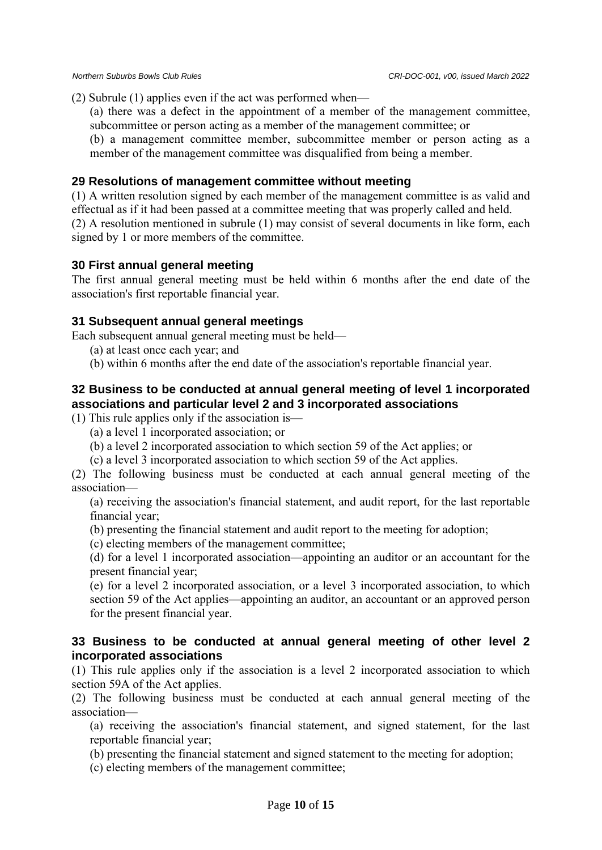(2) Subrule (1) applies even if the act was performed when—

(a) there was a defect in the appointment of a member of the management committee, subcommittee or person acting as a member of the management committee; or

(b) a management committee member, subcommittee member or person acting as a member of the management committee was disqualified from being a member.

#### **29 Resolutions of management committee without meeting**

(1) A written resolution signed by each member of the management committee is as valid and effectual as if it had been passed at a committee meeting that was properly called and held. (2) A resolution mentioned in subrule (1) may consist of several documents in like form, each signed by 1 or more members of the committee.

#### **30 First annual general meeting**

The first annual general meeting must be held within 6 months after the end date of the association's first reportable financial year.

#### **31 Subsequent annual general meetings**

Each subsequent annual general meeting must be held—

(a) at least once each year; and

(b) within 6 months after the end date of the association's reportable financial year.

# **32 Business to be conducted at annual general meeting of level 1 incorporated associations and particular level 2 and 3 incorporated associations**

(1) This rule applies only if the association is—

- (a) a level 1 incorporated association; or
- (b) a level 2 incorporated association to which section 59 of the Act applies; or

(c) a level 3 incorporated association to which section 59 of the Act applies.

(2) The following business must be conducted at each annual general meeting of the association—

(a) receiving the association's financial statement, and audit report, for the last reportable financial year;

(b) presenting the financial statement and audit report to the meeting for adoption;

(c) electing members of the management committee;

(d) for a level 1 incorporated association—appointing an auditor or an accountant for the present financial year;

(e) for a level 2 incorporated association, or a level 3 incorporated association, to which section 59 of the Act applies—appointing an auditor, an accountant or an approved person for the present financial year.

#### **33 Business to be conducted at annual general meeting of other level 2 incorporated associations**

(1) This rule applies only if the association is a level 2 incorporated association to which section 59A of the Act applies.

(2) The following business must be conducted at each annual general meeting of the association—

(a) receiving the association's financial statement, and signed statement, for the last reportable financial year;

(b) presenting the financial statement and signed statement to the meeting for adoption;

(c) electing members of the management committee;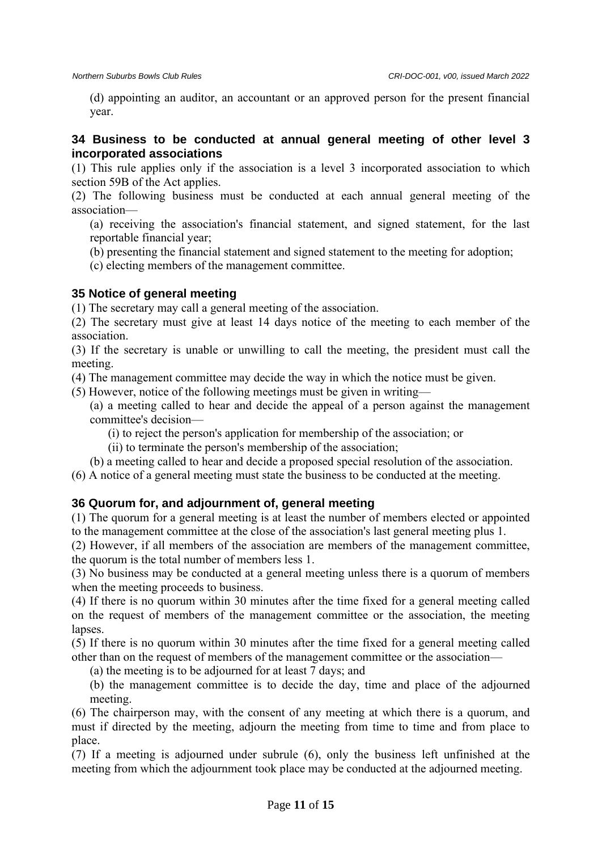(d) appointing an auditor, an accountant or an approved person for the present financial year.

#### **34 Business to be conducted at annual general meeting of other level 3 incorporated associations**

(1) This rule applies only if the association is a level 3 incorporated association to which section 59B of the Act applies.

(2) The following business must be conducted at each annual general meeting of the association—

(a) receiving the association's financial statement, and signed statement, for the last reportable financial year;

(b) presenting the financial statement and signed statement to the meeting for adoption;

(c) electing members of the management committee.

# **35 Notice of general meeting**

(1) The secretary may call a general meeting of the association.

(2) The secretary must give at least 14 days notice of the meeting to each member of the association.

(3) If the secretary is unable or unwilling to call the meeting, the president must call the meeting.

(4) The management committee may decide the way in which the notice must be given.

(5) However, notice of the following meetings must be given in writing—

(a) a meeting called to hear and decide the appeal of a person against the management committee's decision—

(i) to reject the person's application for membership of the association; or

(ii) to terminate the person's membership of the association;

(b) a meeting called to hear and decide a proposed special resolution of the association.

(6) A notice of a general meeting must state the business to be conducted at the meeting.

# **36 Quorum for, and adjournment of, general meeting**

(1) The quorum for a general meeting is at least the number of members elected or appointed to the management committee at the close of the association's last general meeting plus 1.

(2) However, if all members of the association are members of the management committee, the quorum is the total number of members less 1.

(3) No business may be conducted at a general meeting unless there is a quorum of members when the meeting proceeds to business.

(4) If there is no quorum within 30 minutes after the time fixed for a general meeting called on the request of members of the management committee or the association, the meeting lapses.

(5) If there is no quorum within 30 minutes after the time fixed for a general meeting called other than on the request of members of the management committee or the association—

(a) the meeting is to be adjourned for at least 7 days; and

(b) the management committee is to decide the day, time and place of the adjourned meeting.

(6) The chairperson may, with the consent of any meeting at which there is a quorum, and must if directed by the meeting, adjourn the meeting from time to time and from place to place.

(7) If a meeting is adjourned under subrule (6), only the business left unfinished at the meeting from which the adjournment took place may be conducted at the adjourned meeting.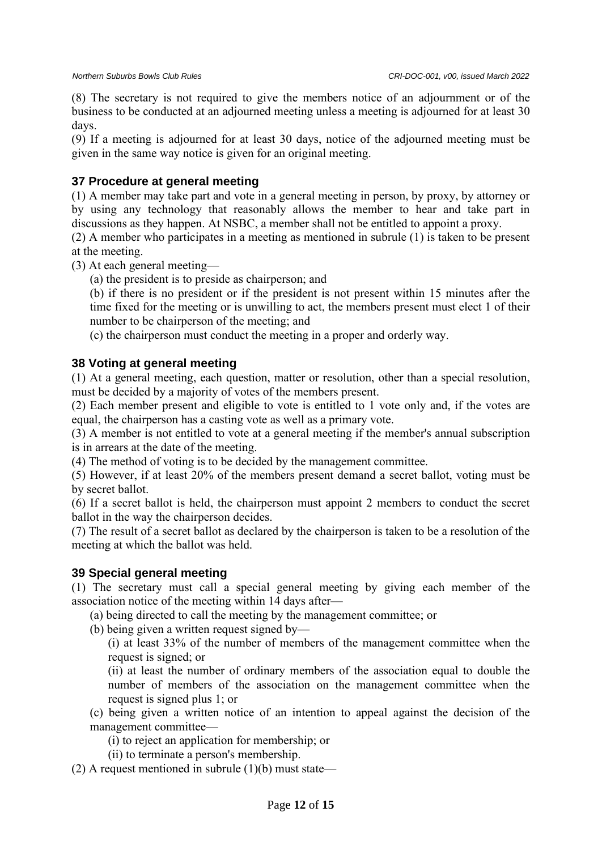(8) The secretary is not required to give the members notice of an adjournment or of the business to be conducted at an adjourned meeting unless a meeting is adjourned for at least 30 days.

(9) If a meeting is adjourned for at least 30 days, notice of the adjourned meeting must be given in the same way notice is given for an original meeting.

# **37 Procedure at general meeting**

(1) A member may take part and vote in a general meeting in person, by proxy, by attorney or by using any technology that reasonably allows the member to hear and take part in discussions as they happen. At NSBC, a member shall not be entitled to appoint a proxy.

(2) A member who participates in a meeting as mentioned in subrule (1) is taken to be present at the meeting.

(3) At each general meeting—

(a) the president is to preside as chairperson; and

(b) if there is no president or if the president is not present within 15 minutes after the time fixed for the meeting or is unwilling to act, the members present must elect 1 of their number to be chairperson of the meeting; and

(c) the chairperson must conduct the meeting in a proper and orderly way.

# **38 Voting at general meeting**

(1) At a general meeting, each question, matter or resolution, other than a special resolution, must be decided by a majority of votes of the members present.

(2) Each member present and eligible to vote is entitled to 1 vote only and, if the votes are equal, the chairperson has a casting vote as well as a primary vote.

(3) A member is not entitled to vote at a general meeting if the member's annual subscription is in arrears at the date of the meeting.

(4) The method of voting is to be decided by the management committee.

(5) However, if at least 20% of the members present demand a secret ballot, voting must be by secret ballot.

(6) If a secret ballot is held, the chairperson must appoint 2 members to conduct the secret ballot in the way the chairperson decides.

(7) The result of a secret ballot as declared by the chairperson is taken to be a resolution of the meeting at which the ballot was held.

# **39 Special general meeting**

(1) The secretary must call a special general meeting by giving each member of the association notice of the meeting within 14 days after—

(a) being directed to call the meeting by the management committee; or

(b) being given a written request signed by—

(i) at least 33% of the number of members of the management committee when the request is signed; or

(ii) at least the number of ordinary members of the association equal to double the number of members of the association on the management committee when the request is signed plus 1; or

(c) being given a written notice of an intention to appeal against the decision of the management committee—

(i) to reject an application for membership; or

(ii) to terminate a person's membership.

(2) A request mentioned in subrule  $(1)(b)$  must state—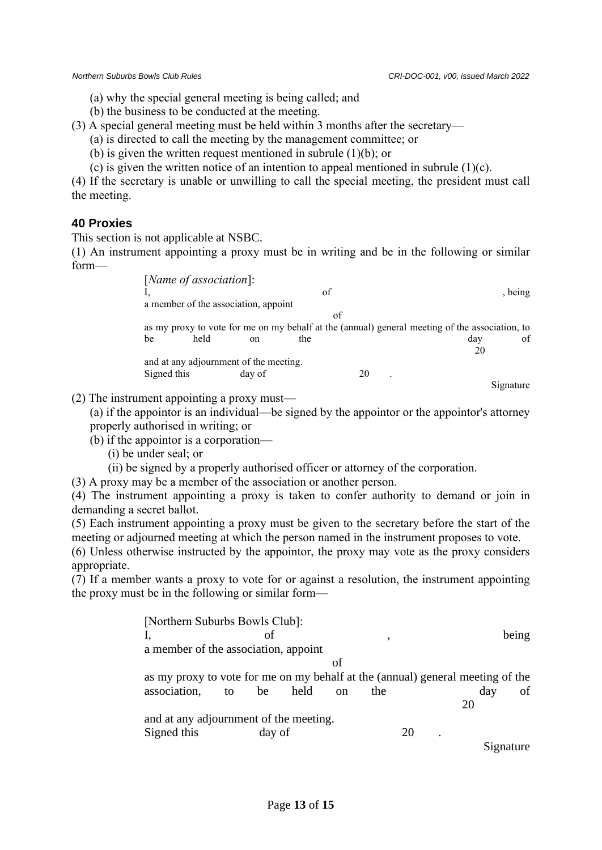Signature

- (a) why the special general meeting is being called; and
- (b) the business to be conducted at the meeting.
- (3) A special general meeting must be held within 3 months after the secretary—
	- (a) is directed to call the meeting by the management committee; or
	- (b) is given the written request mentioned in subrule (1)(b); or
	- (c) is given the written notice of an intention to appeal mentioned in subrule  $(1)(c)$ .

(4) If the secretary is unable or unwilling to call the special meeting, the president must call the meeting.

# **40 Proxies**

This section is not applicable at NSBC.

(1) An instrument appointing a proxy must be in writing and be in the following or similar form—

| [ <i>Name of association</i> ]:                                                                |               |     |    |     |         |
|------------------------------------------------------------------------------------------------|---------------|-----|----|-----|---------|
|                                                                                                |               | of  |    |     | , being |
| a member of the association, appoint                                                           |               |     |    |     |         |
|                                                                                                |               |     | of |     |         |
| as my proxy to vote for me on my behalf at the (annual) general meeting of the association, to |               |     |    |     |         |
| held<br>be                                                                                     | <sub>on</sub> | the |    | dav | of      |
|                                                                                                |               |     |    |     |         |
| and at any adjournment of the meeting.                                                         |               |     |    |     |         |
| Signed this                                                                                    | day of        |     |    |     |         |

(2) The instrument appointing a proxy must—

(a) if the appointor is an individual—be signed by the appointor or the appointor's attorney properly authorised in writing; or

- (b) if the appointor is a corporation—
	- (i) be under seal; or
	- (ii) be signed by a properly authorised officer or attorney of the corporation.

(3) A proxy may be a member of the association or another person.

(4) The instrument appointing a proxy is taken to confer authority to demand or join in demanding a secret ballot.

(5) Each instrument appointing a proxy must be given to the secretary before the start of the meeting or adjourned meeting at which the person named in the instrument proposes to vote.

(6) Unless otherwise instructed by the appointor, the proxy may vote as the proxy considers appropriate.

(7) If a member wants a proxy to vote for or against a resolution, the instrument appointing the proxy must be in the following or similar form—

| [Northern Suburbs Bowls Club]:                                                 |    |        |      |               |         |    |     |       |  |  |  |  |
|--------------------------------------------------------------------------------|----|--------|------|---------------|---------|----|-----|-------|--|--|--|--|
|                                                                                | οf |        |      |               | $\cdot$ |    |     | being |  |  |  |  |
| a member of the association, appoint                                           |    |        |      |               |         |    |     |       |  |  |  |  |
|                                                                                |    |        |      | οf            |         |    |     |       |  |  |  |  |
| as my proxy to vote for me on my behalf at the (annual) general meeting of the |    |        |      |               |         |    |     |       |  |  |  |  |
| association,                                                                   | to | be     | held | <sub>on</sub> | the     |    | day | οf    |  |  |  |  |
|                                                                                |    |        |      |               |         |    | 20  |       |  |  |  |  |
| and at any adjournment of the meeting.                                         |    |        |      |               |         |    |     |       |  |  |  |  |
| Signed this                                                                    |    | day of |      |               |         | 20 |     |       |  |  |  |  |
|                                                                                |    |        |      |               |         |    |     |       |  |  |  |  |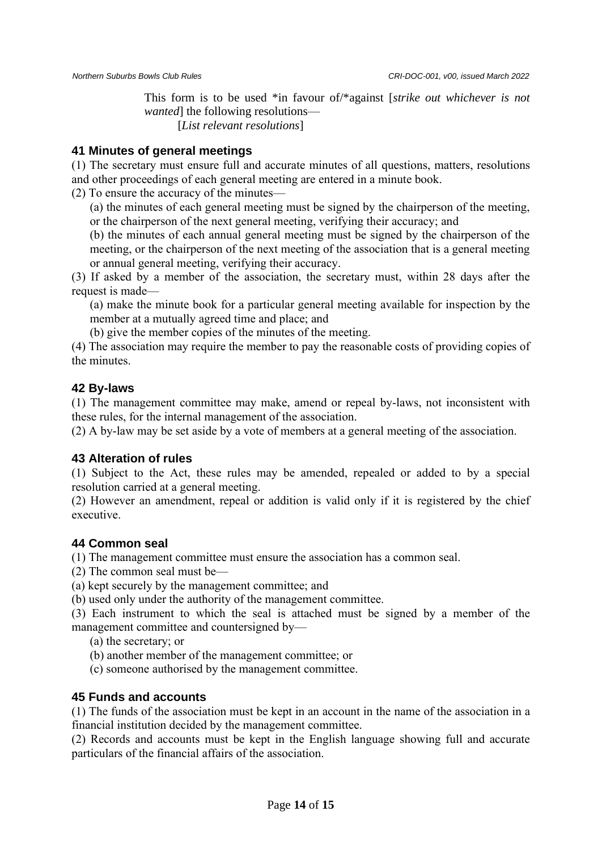This form is to be used \*in favour of/\*against [*strike out whichever is not wanted* the following resolutions— [*List relevant resolutions*]

#### **41 Minutes of general meetings**

(1) The secretary must ensure full and accurate minutes of all questions, matters, resolutions and other proceedings of each general meeting are entered in a minute book.

(2) To ensure the accuracy of the minutes—

(a) the minutes of each general meeting must be signed by the chairperson of the meeting, or the chairperson of the next general meeting, verifying their accuracy; and

(b) the minutes of each annual general meeting must be signed by the chairperson of the meeting, or the chairperson of the next meeting of the association that is a general meeting or annual general meeting, verifying their accuracy.

(3) If asked by a member of the association, the secretary must, within 28 days after the request is made—

(a) make the minute book for a particular general meeting available for inspection by the member at a mutually agreed time and place; and

(b) give the member copies of the minutes of the meeting.

(4) The association may require the member to pay the reasonable costs of providing copies of the minutes.

#### **42 By-laws**

(1) The management committee may make, amend or repeal by-laws, not inconsistent with these rules, for the internal management of the association.

(2) A by-law may be set aside by a vote of members at a general meeting of the association.

#### **43 Alteration of rules**

(1) Subject to the Act, these rules may be amended, repealed or added to by a special resolution carried at a general meeting.

(2) However an amendment, repeal or addition is valid only if it is registered by the chief executive.

#### **44 Common seal**

(1) The management committee must ensure the association has a common seal.

(2) The common seal must be—

(a) kept securely by the management committee; and

(b) used only under the authority of the management committee.

(3) Each instrument to which the seal is attached must be signed by a member of the management committee and countersigned by—

(a) the secretary; or

(b) another member of the management committee; or

(c) someone authorised by the management committee.

#### **45 Funds and accounts**

(1) The funds of the association must be kept in an account in the name of the association in a financial institution decided by the management committee.

(2) Records and accounts must be kept in the English language showing full and accurate particulars of the financial affairs of the association.